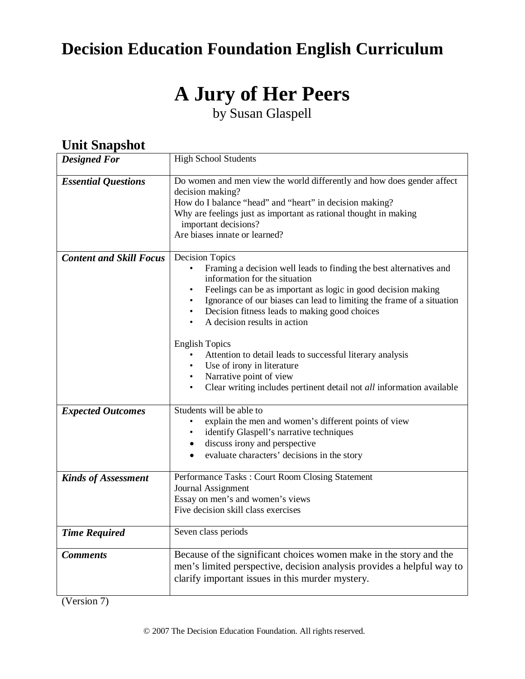# **Decision Education Foundation English Curriculum**

# **A Jury of Her Peers**

by Susan Glaspell

| Оши энармюи                    |                                                                                                                                                                                                                                                                                                                                                                                                                                                                                                                                                                                                                                      |  |
|--------------------------------|--------------------------------------------------------------------------------------------------------------------------------------------------------------------------------------------------------------------------------------------------------------------------------------------------------------------------------------------------------------------------------------------------------------------------------------------------------------------------------------------------------------------------------------------------------------------------------------------------------------------------------------|--|
| <b>Designed For</b>            | <b>High School Students</b>                                                                                                                                                                                                                                                                                                                                                                                                                                                                                                                                                                                                          |  |
| <b>Essential Questions</b>     | Do women and men view the world differently and how does gender affect<br>decision making?<br>How do I balance "head" and "heart" in decision making?<br>Why are feelings just as important as rational thought in making<br>important decisions?<br>Are biases innate or learned?                                                                                                                                                                                                                                                                                                                                                   |  |
| <b>Content and Skill Focus</b> | <b>Decision Topics</b><br>Framing a decision well leads to finding the best alternatives and<br>$\bullet$<br>information for the situation<br>Feelings can be as important as logic in good decision making<br>Ignorance of our biases can lead to limiting the frame of a situation<br>Decision fitness leads to making good choices<br>$\bullet$<br>A decision results in action<br>$\bullet$<br><b>English Topics</b><br>Attention to detail leads to successful literary analysis<br>Use of irony in literature<br>Narrative point of view<br>Clear writing includes pertinent detail not all information available<br>$\bullet$ |  |
| <b>Expected Outcomes</b>       | Students will be able to<br>explain the men and women's different points of view<br>identify Glaspell's narrative techniques<br>discuss irony and perspective<br>$\bullet$<br>evaluate characters' decisions in the story<br>$\bullet$                                                                                                                                                                                                                                                                                                                                                                                               |  |
| <b>Kinds of Assessment</b>     | Performance Tasks: Court Room Closing Statement<br>Journal Assignment<br>Essay on men's and women's views<br>Five decision skill class exercises                                                                                                                                                                                                                                                                                                                                                                                                                                                                                     |  |
| <b>Time Required</b>           | Seven class periods                                                                                                                                                                                                                                                                                                                                                                                                                                                                                                                                                                                                                  |  |
| <b>Comments</b>                | Because of the significant choices women make in the story and the<br>men's limited perspective, decision analysis provides a helpful way to<br>clarify important issues in this murder mystery.                                                                                                                                                                                                                                                                                                                                                                                                                                     |  |

# **Unit Snapshot**

(Version 7)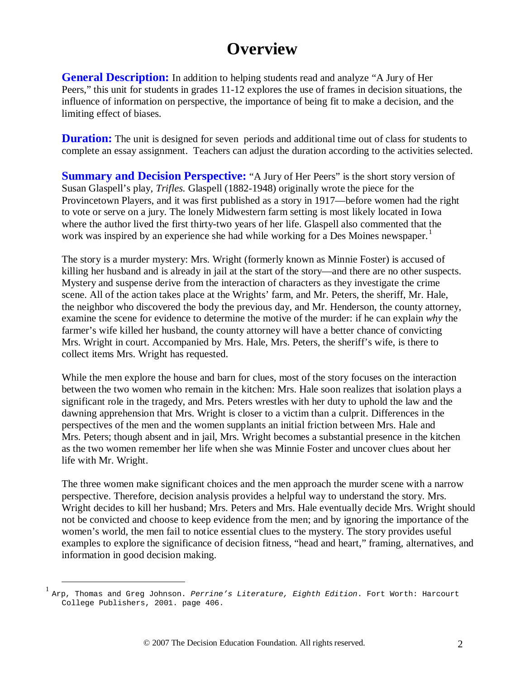# **Overview**

**General Description:** In addition to helping students read and analyze "A Jury of Her Peers," this unit for students in grades 11-12 explores the use of frames in decision situations, the influence of information on perspective, the importance of being fit to make a decision, and the limiting effect of biases.

**Duration:** The unit is designed for seven periods and additional time out of class for students to complete an essay assignment. Teachers can adjust the duration according to the activities selected.

**Summary and Decision Perspective:** "A Jury of Her Peers" is the short story version of Susan Glaspell's play, *Trifles.* Glaspell (1882-1948) originally wrote the piece for the Provincetown Players, and it was first published as a story in 1917—before women had the right to vote or serve on a jury. The lonely Midwestern farm setting is most likely located in Iowa where the author lived the first thirty-two years of her life. Glaspell also commented that the work was inspired by an experience she had while working for a Des Moines newspaper.<sup>[1](#page-1-0)</sup>

The story is a murder mystery: Mrs. Wright (formerly known as Minnie Foster) is accused of killing her husband and is already in jail at the start of the story—and there are no other suspects. Mystery and suspense derive from the interaction of characters as they investigate the crime scene. All of the action takes place at the Wrights' farm, and Mr. Peters, the sheriff, Mr. Hale, the neighbor who discovered the body the previous day, and Mr. Henderson, the county attorney, examine the scene for evidence to determine the motive of the murder: if he can explain *why* the farmer's wife killed her husband, the county attorney will have a better chance of convicting Mrs. Wright in court. Accompanied by Mrs. Hale, Mrs. Peters, the sheriff's wife, is there to collect items Mrs. Wright has requested.

While the men explore the house and barn for clues, most of the story focuses on the interaction between the two women who remain in the kitchen: Mrs. Hale soon realizes that isolation plays a significant role in the tragedy, and Mrs. Peters wrestles with her duty to uphold the law and the dawning apprehension that Mrs. Wright is closer to a victim than a culprit. Differences in the perspectives of the men and the women supplants an initial friction between Mrs. Hale and Mrs. Peters; though absent and in jail, Mrs. Wright becomes a substantial presence in the kitchen as the two women remember her life when she was Minnie Foster and uncover clues about her life with Mr. Wright.

The three women make significant choices and the men approach the murder scene with a narrow perspective. Therefore, decision analysis provides a helpful way to understand the story. Mrs. Wright decides to kill her husband; Mrs. Peters and Mrs. Hale eventually decide Mrs. Wright should not be convicted and choose to keep evidence from the men; and by ignoring the importance of the women's world, the men fail to notice essential clues to the mystery. The story provides useful examples to explore the significance of decision fitness, "head and heart," framing, alternatives, and information in good decision making.

<span id="page-1-0"></span> <sup>1</sup> Arp, Thomas and Greg Johnson. *Perrine's Literature, Eighth Edition*. Fort Worth: Harcourt College Publishers, 2001. page 406.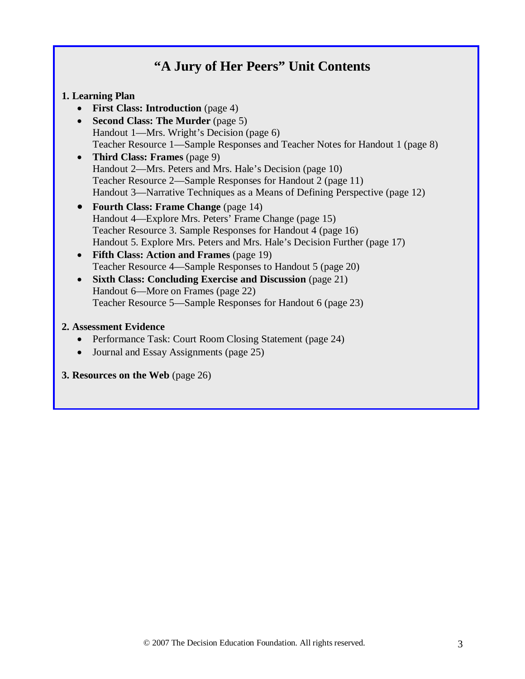# **"A Jury of Her Peers" Unit Contents**

#### **1. Learning Plan**

- **First Class: Introduction** (page 4)
- **Second Class: The Murder** (page 5) Handout 1—Mrs. Wright's Decision (page 6) Teacher Resource 1—Sample Responses and Teacher Notes for Handout 1 (page 8)
- **Third Class: Frames** (page 9) Handout 2—Mrs. Peters and Mrs. Hale's Decision (page 10) Teacher Resource 2—Sample Responses for Handout 2 (page 11) Handout 3—Narrative Techniques as a Means of Defining Perspective (page 12)
- **Fourth Class: Frame Change** (page 14) Handout 4—Explore Mrs. Peters' Frame Change (page 15) Teacher Resource 3. Sample Responses for Handout 4 (page 16) Handout 5. Explore Mrs. Peters and Mrs. Hale's Decision Further (page 17)
- **Fifth Class: Action and Frames** (page 19) Teacher Resource 4—Sample Responses to Handout 5 (page 20)
- **Sixth Class: Concluding Exercise and Discussion** (page 21) Handout 6—More on Frames (page 22) Teacher Resource 5—Sample Responses for Handout 6 (page 23)

#### **2. Assessment Evidence**

- Performance Task: Court Room Closing Statement (page 24)
- Journal and Essay Assignments (page 25)
- **3. Resources on the Web** (page 26)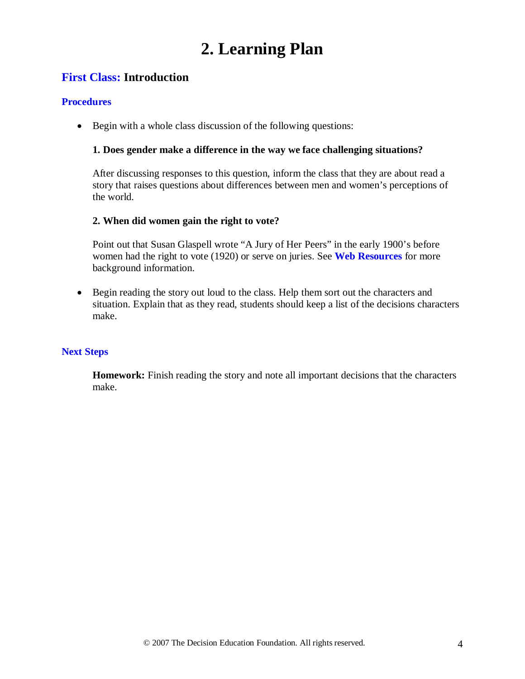# **2. Learning Plan**

# **First Class: Introduction**

#### **Procedures**

• Begin with a whole class discussion of the following questions:

#### **1. Does gender make a difference in the way we face challenging situations?**

After discussing responses to this question, inform the class that they are about read a story that raises questions about differences between men and women's perceptions of the world.

#### **2. When did women gain the right to vote?**

Point out that Susan Glaspell wrote "A Jury of Her Peers" in the early 1900's before women had the right to vote (1920) or serve on juries. See **Web Resources** for more background information.

• Begin reading the story out loud to the class. Help them sort out the characters and situation. Explain that as they read, students should keep a list of the decisions characters make.

#### **Next Steps**

**Homework:** Finish reading the story and note all important decisions that the characters make.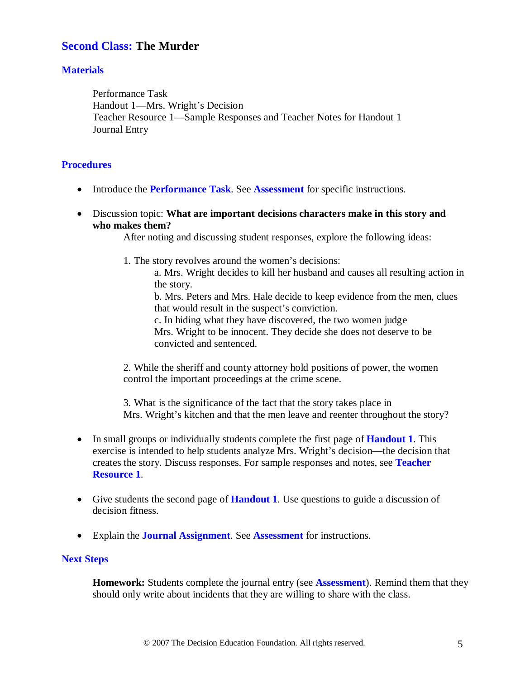## **Second Class: The Murder**

#### **Materials**

Performance Task Handout 1—Mrs. Wright's Decision Teacher Resource 1—Sample Responses and Teacher Notes for Handout 1 Journal Entry

#### **Procedures**

- Introduce the **Performance Task**. See **Assessment** for specific instructions.
- Discussion topic: **What are important decisions characters make in this story and who makes them?**

After noting and discussing student responses, explore the following ideas:

1. The story revolves around the women's decisions:

a. Mrs. Wright decides to kill her husband and causes all resulting action in the story.

b. Mrs. Peters and Mrs. Hale decide to keep evidence from the men, clues that would result in the suspect's conviction.

c. In hiding what they have discovered, the two women judge Mrs. Wright to be innocent. They decide she does not deserve to be convicted and sentenced.

2. While the sheriff and county attorney hold positions of power, the women control the important proceedings at the crime scene.

3. What is the significance of the fact that the story takes place in Mrs. Wright's kitchen and that the men leave and reenter throughout the story?

- In small groups or individually students complete the first page of **Handout 1**. This exercise is intended to help students analyze Mrs. Wright's decision—the decision that creates the story. Discuss responses. For sample responses and notes, see **Teacher Resource 1**.
- Give students the second page of **Handout 1**. Use questions to guide a discussion of decision fitness.
- Explain the **Journal Assignment**. See **Assessment** for instructions.

#### **Next Steps**

**Homework:** Students complete the journal entry (see **Assessment**). Remind them that they should only write about incidents that they are willing to share with the class.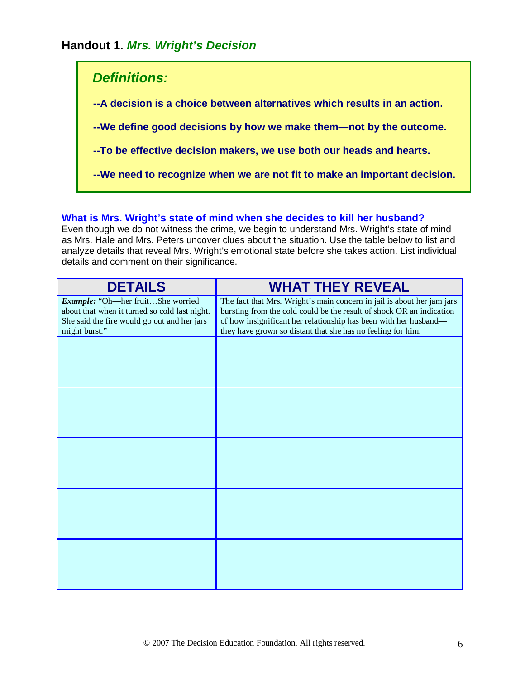# **Handout 1.** *Mrs. Wright's Decision*

# *Definitions:* **--A decision is a choice between alternatives which results in an action. --We define good decisions by how we make them—not by the outcome. --To be effective decision makers, we use both our heads and hearts. --We need to recognize when we are not fit to make an important decision.**

#### **What is Mrs. Wright's state of mind when she decides to kill her husband?**

Even though we do not witness the crime, we begin to understand Mrs. Wright's state of mind as Mrs. Hale and Mrs. Peters uncover clues about the situation. Use the table below to list and analyze details that reveal Mrs. Wright's emotional state before she takes action. List individual details and comment on their significance.

| <b>DETAILS</b>                                                                                                                                     | <b>WHAT THEY REVEAL</b>                                                                                                                                                                                                                                                           |
|----------------------------------------------------------------------------------------------------------------------------------------------------|-----------------------------------------------------------------------------------------------------------------------------------------------------------------------------------------------------------------------------------------------------------------------------------|
| Example: "Oh-her fruitShe worried<br>about that when it turned so cold last night.<br>She said the fire would go out and her jars<br>might burst." | The fact that Mrs. Wright's main concern in jail is about her jam jars<br>bursting from the cold could be the result of shock OR an indication<br>of how insignificant her relationship has been with her husband-<br>they have grown so distant that she has no feeling for him. |
|                                                                                                                                                    |                                                                                                                                                                                                                                                                                   |
|                                                                                                                                                    |                                                                                                                                                                                                                                                                                   |
|                                                                                                                                                    |                                                                                                                                                                                                                                                                                   |
|                                                                                                                                                    |                                                                                                                                                                                                                                                                                   |
|                                                                                                                                                    |                                                                                                                                                                                                                                                                                   |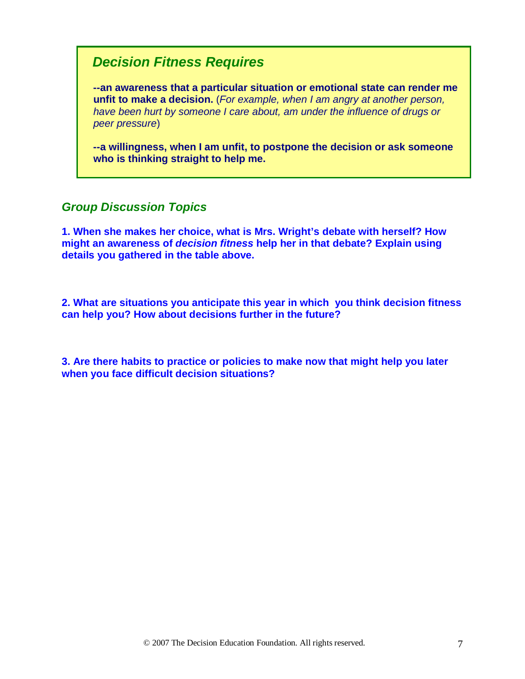# *Decision Fitness Requires*

 **--an awareness that a particular situation or emotional state can render me unfit to make a decision.** (*For example, when I am angry at another person, have been hurt by someone I care about, am under the influence of drugs or peer pressure*)

 **--a willingness, when I am unfit, to postpone the decision or ask someone who is thinking straight to help me.**

## *Group Discussion Topics*

**1. When she makes her choice, what is Mrs. Wright's debate with herself? How might an awareness of** *decision fitness* **help her in that debate? Explain using details you gathered in the table above.**

**2. What are situations you anticipate this year in which you think decision fitness can help you? How about decisions further in the future?**

**3. Are there habits to practice or policies to make now that might help you later when you face difficult decision situations?**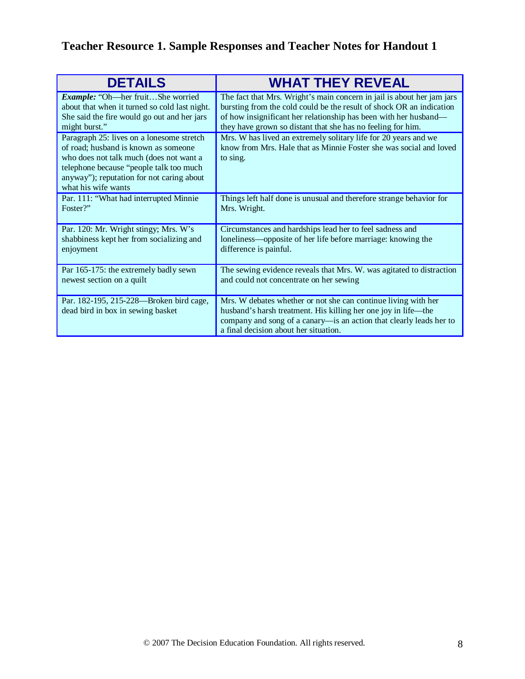# **Teacher Resource 1. Sample Responses and Teacher Notes for Handout 1**

| <b>DETAILS</b>                                                                                                                                                                                                                              | <b>WHAT THEY REVEAL</b>                                                                                                                                                                                                                          |
|---------------------------------------------------------------------------------------------------------------------------------------------------------------------------------------------------------------------------------------------|--------------------------------------------------------------------------------------------------------------------------------------------------------------------------------------------------------------------------------------------------|
| Example: "Oh-her fruitShe worried                                                                                                                                                                                                           | The fact that Mrs. Wright's main concern in jail is about her jam jars                                                                                                                                                                           |
| about that when it turned so cold last night.                                                                                                                                                                                               | bursting from the cold could be the result of shock OR an indication                                                                                                                                                                             |
| She said the fire would go out and her jars                                                                                                                                                                                                 | of how insignificant her relationship has been with her husband—                                                                                                                                                                                 |
| might burst."                                                                                                                                                                                                                               | they have grown so distant that she has no feeling for him.                                                                                                                                                                                      |
| Paragraph 25: lives on a lonesome stretch<br>of road; husband is known as someone<br>who does not talk much (does not want a<br>telephone because "people talk too much<br>anyway"); reputation for not caring about<br>what his wife wants | Mrs. W has lived an extremely solitary life for 20 years and we<br>know from Mrs. Hale that as Minnie Foster she was social and loved<br>to sing.                                                                                                |
| Par. 111: "What had interrupted Minnie                                                                                                                                                                                                      | Things left half done is unusual and therefore strange behavior for                                                                                                                                                                              |
| Foster?"                                                                                                                                                                                                                                    | Mrs. Wright.                                                                                                                                                                                                                                     |
| Par. 120: Mr. Wright stingy; Mrs. W's                                                                                                                                                                                                       | Circumstances and hardships lead her to feel sadness and                                                                                                                                                                                         |
| shabbiness kept her from socializing and                                                                                                                                                                                                    | loneliness—opposite of her life before marriage: knowing the                                                                                                                                                                                     |
| enjoyment                                                                                                                                                                                                                                   | difference is painful.                                                                                                                                                                                                                           |
| Par 165-175: the extremely badly sewn                                                                                                                                                                                                       | The sewing evidence reveals that Mrs. W. was agitated to distraction                                                                                                                                                                             |
| newest section on a quilt                                                                                                                                                                                                                   | and could not concentrate on her sewing                                                                                                                                                                                                          |
| Par. 182-195, 215-228—Broken bird cage,<br>dead bird in box in sewing basket                                                                                                                                                                | Mrs. W debates whether or not she can continue living with her<br>husband's harsh treatment. His killing her one joy in life—the<br>company and song of a canary-is an action that clearly leads her to<br>a final decision about her situation. |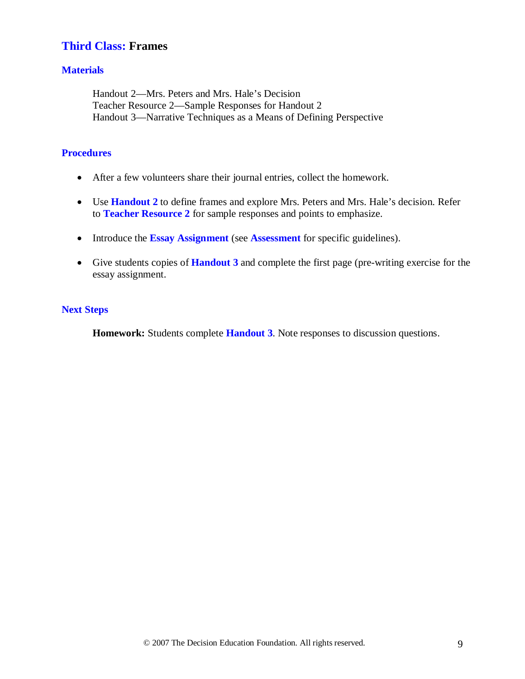# **Third Class: Frames**

#### **Materials**

Handout 2—Mrs. Peters and Mrs. Hale's Decision Teacher Resource 2—Sample Responses for Handout 2 Handout 3—Narrative Techniques as a Means of Defining Perspective

#### **Procedures**

- After a few volunteers share their journal entries, collect the homework.
- Use **Handout 2** to define frames and explore Mrs. Peters and Mrs. Hale's decision. Refer to **Teacher Resource 2** for sample responses and points to emphasize.
- Introduce the **Essay Assignment** (see **Assessment** for specific guidelines).
- Give students copies of **Handout 3** and complete the first page (pre-writing exercise for the essay assignment.

#### **Next Steps**

**Homework:** Students complete **Handout 3**. Note responses to discussion questions.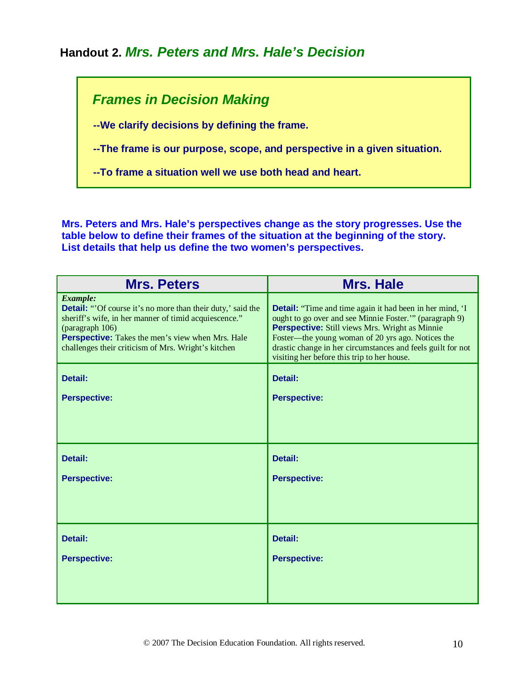# **Handout 2.** *Mrs. Peters and Mrs. Hale's Decision*

# *Frames in Decision Making*

 **--We clarify decisions by defining the frame.**

 **--The frame is our purpose, scope, and perspective in a given situation.**

 **--To frame a situation well we use both head and heart.**

**Mrs. Peters and Mrs. Hale's perspectives change as the story progresses. Use the table below to define their frames of the situation at the beginning of the story. List details that help us define the two women's perspectives.**

| <b>Mrs. Peters</b>                                                                                                                                                                                                                                                   | <b>Mrs. Hale</b>                                                                                                                                                                                                                                                                                                                                      |
|----------------------------------------------------------------------------------------------------------------------------------------------------------------------------------------------------------------------------------------------------------------------|-------------------------------------------------------------------------------------------------------------------------------------------------------------------------------------------------------------------------------------------------------------------------------------------------------------------------------------------------------|
| Example:<br><b>Detail:</b> "Of course it's no more than their duty,' said the<br>sheriff's wife, in her manner of timid acquiescence."<br>(paragraph 106)<br>Perspective: Takes the men's view when Mrs. Hale<br>challenges their criticism of Mrs. Wright's kitchen | <b>Detail:</b> "Time and time again it had been in her mind, 'I<br>ought to go over and see Minnie Foster." (paragraph 9)<br><b>Perspective:</b> Still views Mrs. Wright as Minnie<br>Foster-the young woman of 20 yrs ago. Notices the<br>drastic change in her circumstances and feels guilt for not<br>visiting her before this trip to her house. |
| Detail:                                                                                                                                                                                                                                                              | Detail:                                                                                                                                                                                                                                                                                                                                               |
| <b>Perspective:</b>                                                                                                                                                                                                                                                  | <b>Perspective:</b>                                                                                                                                                                                                                                                                                                                                   |
|                                                                                                                                                                                                                                                                      |                                                                                                                                                                                                                                                                                                                                                       |
| Detail:                                                                                                                                                                                                                                                              | Detail:                                                                                                                                                                                                                                                                                                                                               |
| <b>Perspective:</b>                                                                                                                                                                                                                                                  | <b>Perspective:</b>                                                                                                                                                                                                                                                                                                                                   |
|                                                                                                                                                                                                                                                                      |                                                                                                                                                                                                                                                                                                                                                       |
| Detail:                                                                                                                                                                                                                                                              | Detail:                                                                                                                                                                                                                                                                                                                                               |
| <b>Perspective:</b>                                                                                                                                                                                                                                                  | <b>Perspective:</b>                                                                                                                                                                                                                                                                                                                                   |
|                                                                                                                                                                                                                                                                      |                                                                                                                                                                                                                                                                                                                                                       |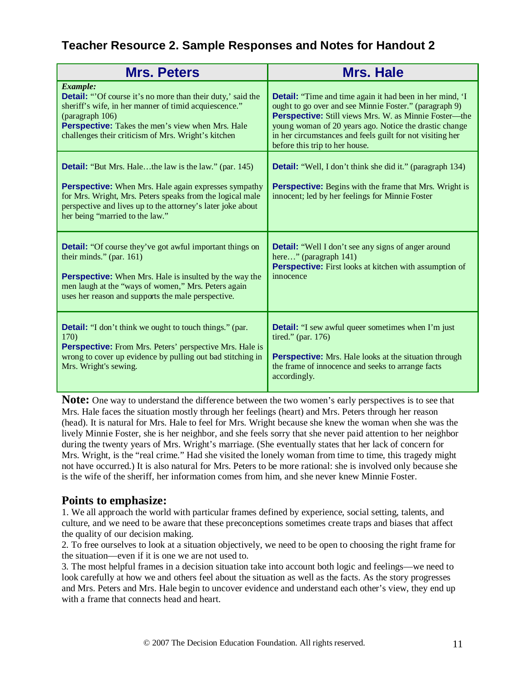# **Teacher Resource 2. Sample Responses and Notes for Handout 2**

| <b>Mrs. Peters</b>                                                                                                                                                                                                                                                                         | <b>Mrs. Hale</b>                                                                                                                                                                                                                                                                                                                            |
|--------------------------------------------------------------------------------------------------------------------------------------------------------------------------------------------------------------------------------------------------------------------------------------------|---------------------------------------------------------------------------------------------------------------------------------------------------------------------------------------------------------------------------------------------------------------------------------------------------------------------------------------------|
| Example:<br><b>Detail:</b> "Of course it's no more than their duty,' said the<br>sheriff's wife, in her manner of timid acquiescence."<br>(paragraph 106)<br>Perspective: Takes the men's view when Mrs. Hale<br>challenges their criticism of Mrs. Wright's kitchen                       | <b>Detail:</b> "Time and time again it had been in her mind, 'I<br>ought to go over and see Minnie Foster." (paragraph 9)<br>Perspective: Still views Mrs. W. as Minnie Foster-the<br>young woman of 20 years ago. Notice the drastic change<br>in her circumstances and feels guilt for not visiting her<br>before this trip to her house. |
| <b>Detail:</b> "But Mrs. Halethe law is the law." (par. 145)<br><b>Perspective:</b> When Mrs. Hale again expresses sympathy<br>for Mrs. Wright, Mrs. Peters speaks from the logical male<br>perspective and lives up to the attorney's later joke about<br>her being "married to the law." | <b>Detail:</b> "Well, I don't think she did it." (paragraph 134)<br><b>Perspective:</b> Begins with the frame that Mrs. Wright is<br>innocent; led by her feelings for Minnie Foster                                                                                                                                                        |
| <b>Detail:</b> "Of course they've got awful important things on<br>their minds." (par. 161)<br><b>Perspective:</b> When Mrs. Hale is insulted by the way the<br>men laugh at the "ways of women," Mrs. Peters again<br>uses her reason and supports the male perspective.                  | <b>Detail:</b> "Well I don't see any signs of anger around<br>here" (paragraph 141)<br><b>Perspective:</b> First looks at kitchen with assumption of<br>innocence                                                                                                                                                                           |
| <b>Detail:</b> "I don't think we ought to touch things." (par.<br><b>170</b><br>Perspective: From Mrs. Peters' perspective Mrs. Hale is<br>wrong to cover up evidence by pulling out bad stitching in<br>Mrs. Wright's sewing.                                                             | <b>Detail:</b> "I sew awful queer sometimes when I'm just<br><b>Perspective:</b> Mrs. Hale looks at the situation through<br>the frame of innocence and seeks to arrange facts<br>accordingly.                                                                                                                                              |

**Note:** One way to understand the difference between the two women's early perspectives is to see that Mrs. Hale faces the situation mostly through her feelings (heart) and Mrs. Peters through her reason (head). It is natural for Mrs. Hale to feel for Mrs. Wright because she knew the woman when she was the lively Minnie Foster, she is her neighbor, and she feels sorry that she never paid attention to her neighbor during the twenty years of Mrs. Wright's marriage. (She eventually states that her lack of concern for Mrs. Wright, is the "real crime." Had she visited the lonely woman from time to time, this tragedy might not have occurred.) It is also natural for Mrs. Peters to be more rational: she is involved only because she is the wife of the sheriff, her information comes from him, and she never knew Minnie Foster.

## **Points to emphasize:**

1. We all approach the world with particular frames defined by experience, social setting, talents, and culture, and we need to be aware that these preconceptions sometimes create traps and biases that affect the quality of our decision making.

2. To free ourselves to look at a situation objectively, we need to be open to choosing the right frame for the situation—even if it is one we are not used to.

3. The most helpful frames in a decision situation take into account both logic and feelings—we need to look carefully at how we and others feel about the situation as well as the facts. As the story progresses and Mrs. Peters and Mrs. Hale begin to uncover evidence and understand each other's view, they end up with a frame that connects head and heart.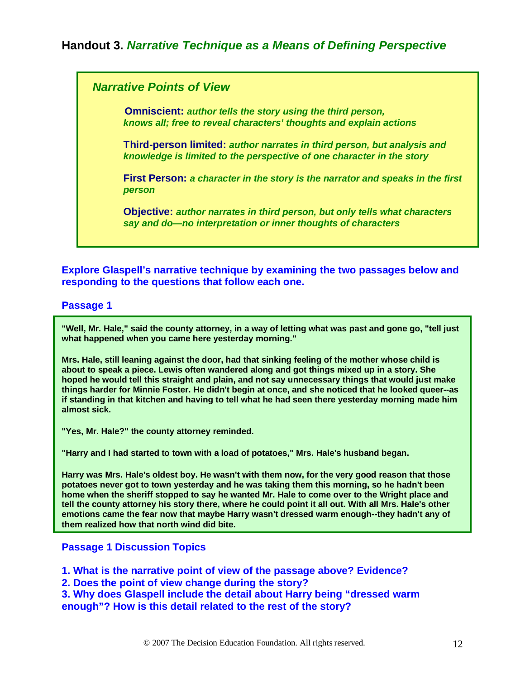# **Handout 3.** *Narrative Technique as a Means of Defining Perspective*

#### *Narrative Points of View*

 **Omniscient:** *author tells the story using the third person, knows all; free to reveal characters' thoughts and explain actions*

**Third-person limited:** *author narrates in third person, but analysis and knowledge is limited to the perspective of one character in the story*

**First Person:** *a character in the story is the narrator and speaks in the first person*

**Objective:** *author narrates in third person, but only tells what characters say and do—no interpretation or inner thoughts of characters*

**Explore Glaspell's narrative technique by examining the two passages below and responding to the questions that follow each one.**

#### **Passage 1**

**"Well, Mr. Hale," said the county attorney, in a way of letting what was past and gone go, "tell just what happened when you came here yesterday morning."** 

**Mrs. Hale, still leaning against the door, had that sinking feeling of the mother whose child is about to speak a piece. Lewis often wandered along and got things mixed up in a story. She hoped he would tell this straight and plain, and not say unnecessary things that would just make things harder for Minnie Foster. He didn't begin at once, and she noticed that he looked queer--as if standing in that kitchen and having to tell what he had seen there yesterday morning made him almost sick.** 

**"Yes, Mr. Hale?" the county attorney reminded.** 

**"Harry and I had started to town with a load of potatoes," Mrs. Hale's husband began.** 

**Harry was Mrs. Hale's oldest boy. He wasn't with them now, for the very good reason that those potatoes never got to town yesterday and he was taking them this morning, so he hadn't been home when the sheriff stopped to say he wanted Mr. Hale to come over to the Wright place and tell the county attorney his story there, where he could point it all out. With all Mrs. Hale's other emotions came the fear now that maybe Harry wasn't dressed warm enough--they hadn't any of them realized how that north wind did bite.**

#### **Passage 1 Discussion Topics**

**1. What is the narrative point of view of the passage above? Evidence?**

**2. Does the point of view change during the story?** 

**3. Why does Glaspell include the detail about Harry being "dressed warm enough"? How is this detail related to the rest of the story?**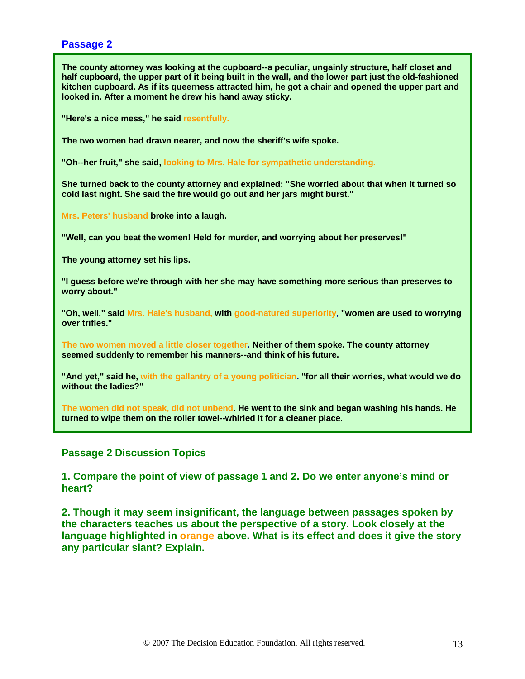#### **Passage 2**

**The county attorney was looking at the cupboard--a peculiar, ungainly structure, half closet and half cupboard, the upper part of it being built in the wall, and the lower part just the old-fashioned kitchen cupboard. As if its queerness attracted him, he got a chair and opened the upper part and looked in. After a moment he drew his hand away sticky.** 

**"Here's a nice mess," he said resentfully.**

**The two women had drawn nearer, and now the sheriff's wife spoke.** 

**"Oh--her fruit," she said, looking to Mrs. Hale for sympathetic understanding.**

**She turned back to the county attorney and explained: "She worried about that when it turned so cold last night. She said the fire would go out and her jars might burst."** 

**Mrs. Peters' husband broke into a laugh.** 

**"Well, can you beat the women! Held for murder, and worrying about her preserves!"** 

**The young attorney set his lips.** 

**"I guess before we're through with her she may have something more serious than preserves to worry about."** 

**"Oh, well," said Mrs. Hale's husband, with good-natured superiority, "women are used to worrying over trifles."** 

**The two women moved a little closer together. Neither of them spoke. The county attorney seemed suddenly to remember his manners--and think of his future.** 

**"And yet," said he, with the gallantry of a young politician. "for all their worries, what would we do without the ladies?"** 

**The women did not speak, did not unbend. He went to the sink and began washing his hands. He turned to wipe them on the roller towel--whirled it for a cleaner place.** 

**Passage 2 Discussion Topics**

**1. Compare the point of view of passage 1 and 2. Do we enter anyone's mind or heart?**

**2. Though it may seem insignificant, the language between passages spoken by the characters teaches us about the perspective of a story. Look closely at the language highlighted in orange above. What is its effect and does it give the story any particular slant? Explain.**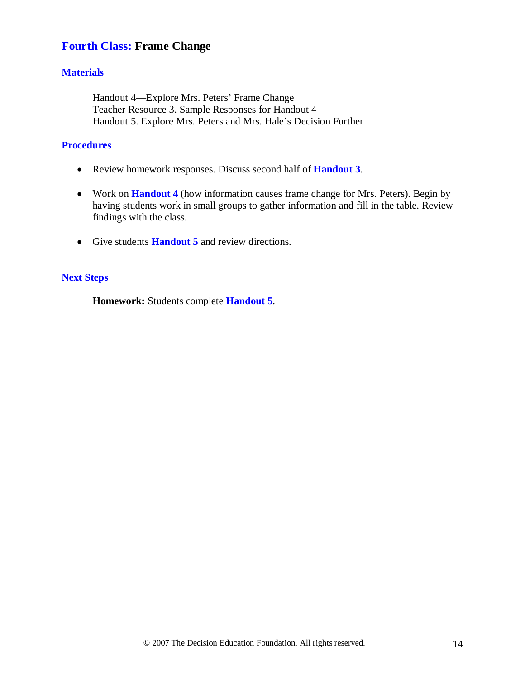# **Fourth Class: Frame Change**

#### **Materials**

Handout 4—Explore Mrs. Peters' Frame Change Teacher Resource 3. Sample Responses for Handout 4 Handout 5. Explore Mrs. Peters and Mrs. Hale's Decision Further

#### **Procedures**

- Review homework responses. Discuss second half of **Handout 3**.
- Work on **Handout 4** (how information causes frame change for Mrs. Peters). Begin by having students work in small groups to gather information and fill in the table. Review findings with the class.
- Give students **Handout 5** and review directions.

#### **Next Steps**

**Homework:** Students complete **Handout 5**.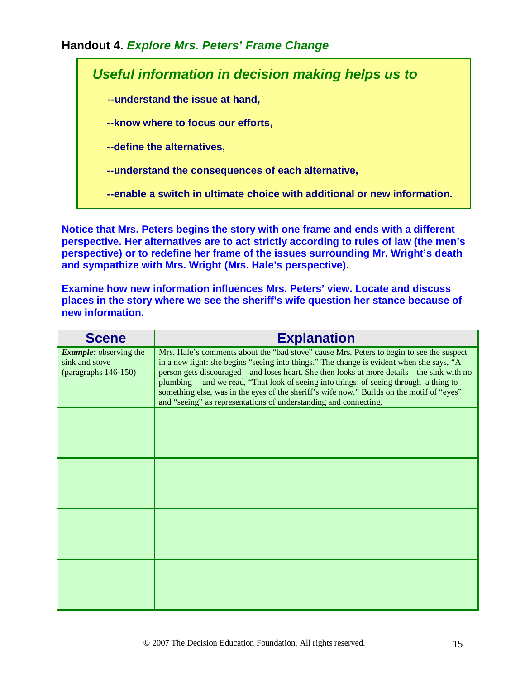## **Handout 4.** *Explore Mrs. Peters' Frame Change*

*Useful information in decision making helps us to* **--understand the issue at hand, --know where to focus our efforts, --define the alternatives, --understand the consequences of each alternative, --enable a switch in ultimate choice with additional or new information.**

**Notice that Mrs. Peters begins the story with one frame and ends with a different perspective. Her alternatives are to act strictly according to rules of law (the men's perspective) or to redefine her frame of the issues surrounding Mr. Wright's death and sympathize with Mrs. Wright (Mrs. Hale's perspective).** 

**Examine how new information influences Mrs. Peters' view. Locate and discuss places in the story where we see the sheriff's wife question her stance because of new information.**

| <b>Scene</b>                                                               | <b>Explanation</b>                                                                                                                                                                                                                                                                                                                                                                                                                                                                                                                         |
|----------------------------------------------------------------------------|--------------------------------------------------------------------------------------------------------------------------------------------------------------------------------------------------------------------------------------------------------------------------------------------------------------------------------------------------------------------------------------------------------------------------------------------------------------------------------------------------------------------------------------------|
| <b>Example:</b> observing the<br>sink and stove<br>(paragraphs $146-150$ ) | Mrs. Hale's comments about the "bad stove" cause Mrs. Peters to begin to see the suspect<br>in a new light: she begins "seeing into things." The change is evident when she says, "A<br>person gets discouraged—and loses heart. She then looks at more details—the sink with no<br>plumbing— and we read, "That look of seeing into things, of seeing through a thing to<br>something else, was in the eyes of the sheriff's wife now." Builds on the motif of "eyes"<br>and "seeing" as representations of understanding and connecting. |
|                                                                            |                                                                                                                                                                                                                                                                                                                                                                                                                                                                                                                                            |
|                                                                            |                                                                                                                                                                                                                                                                                                                                                                                                                                                                                                                                            |
|                                                                            |                                                                                                                                                                                                                                                                                                                                                                                                                                                                                                                                            |
|                                                                            |                                                                                                                                                                                                                                                                                                                                                                                                                                                                                                                                            |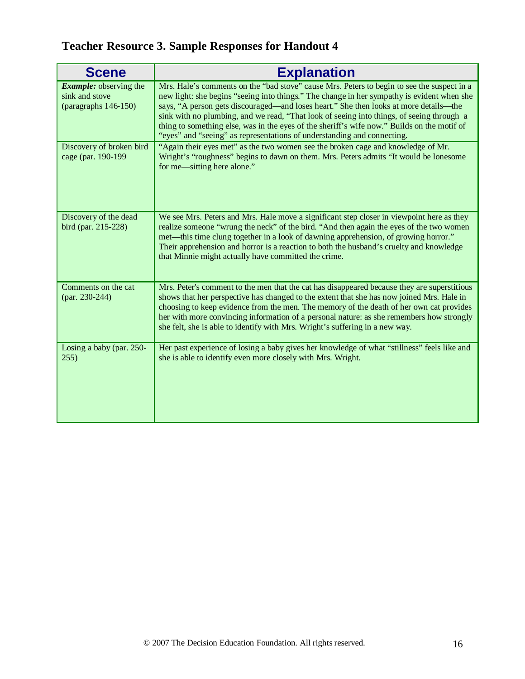# **Teacher Resource 3. Sample Responses for Handout 4**

| <b>Scene</b>                                                               | <b>Explanation</b>                                                                                                                                                                                                                                                                                                                                                                                                                                                                                                                                       |
|----------------------------------------------------------------------------|----------------------------------------------------------------------------------------------------------------------------------------------------------------------------------------------------------------------------------------------------------------------------------------------------------------------------------------------------------------------------------------------------------------------------------------------------------------------------------------------------------------------------------------------------------|
| <b>Example:</b> observing the<br>sink and stove<br>(paragraphs $146-150$ ) | Mrs. Hale's comments on the "bad stove" cause Mrs. Peters to begin to see the suspect in a<br>new light: she begins "seeing into things." The change in her sympathy is evident when she<br>says, "A person gets discouraged—and loses heart." She then looks at more details—the<br>sink with no plumbing, and we read, "That look of seeing into things, of seeing through a<br>thing to something else, was in the eyes of the sheriff's wife now." Builds on the motif of<br>"eyes" and "seeing" as representations of understanding and connecting. |
| Discovery of broken bird<br>cage (par. 190-199                             | "Again their eyes met" as the two women see the broken cage and knowledge of Mr.<br>Wright's "roughness" begins to dawn on them. Mrs. Peters admits "It would be lonesome<br>for me—sitting here alone."                                                                                                                                                                                                                                                                                                                                                 |
| Discovery of the dead<br>bird (par. 215-228)                               | We see Mrs. Peters and Mrs. Hale move a significant step closer in viewpoint here as they<br>realize someone "wrung the neck" of the bird. "And then again the eyes of the two women<br>met—this time clung together in a look of dawning apprehension, of growing horror."<br>Their apprehension and horror is a reaction to both the husband's cruelty and knowledge<br>that Minnie might actually have committed the crime.                                                                                                                           |
| Comments on the cat<br>(par. 230-244)                                      | Mrs. Peter's comment to the men that the cat has disappeared because they are superstitious<br>shows that her perspective has changed to the extent that she has now joined Mrs. Hale in<br>choosing to keep evidence from the men. The memory of the death of her own cat provides<br>her with more convincing information of a personal nature: as she remembers how strongly<br>she felt, she is able to identify with Mrs. Wright's suffering in a new way.                                                                                          |
| Losing a baby (par. 250-<br>255)                                           | Her past experience of losing a baby gives her knowledge of what "stillness" feels like and<br>she is able to identify even more closely with Mrs. Wright.                                                                                                                                                                                                                                                                                                                                                                                               |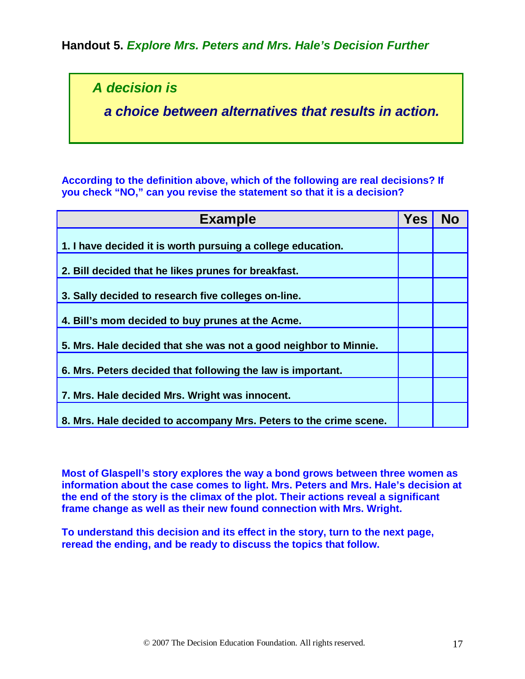**Handout 5.** *Explore Mrs. Peters and Mrs. Hale's Decision Further*

*A decision is*

 *a choice between alternatives that results in action.*

**According to the definition above, which of the following are real decisions? If you check "NO," can you revise the statement so that it is a decision?** 

| <b>Example</b>                                                    | <b>Yes</b> | <b>No</b> |
|-------------------------------------------------------------------|------------|-----------|
| 1. I have decided it is worth pursuing a college education.       |            |           |
| 2. Bill decided that he likes prunes for breakfast.               |            |           |
| 3. Sally decided to research five colleges on-line.               |            |           |
| 4. Bill's mom decided to buy prunes at the Acme.                  |            |           |
| 5. Mrs. Hale decided that she was not a good neighbor to Minnie.  |            |           |
| 6. Mrs. Peters decided that following the law is important.       |            |           |
| 7. Mrs. Hale decided Mrs. Wright was innocent.                    |            |           |
| 8. Mrs. Hale decided to accompany Mrs. Peters to the crime scene. |            |           |

**Most of Glaspell's story explores the way a bond grows between three women as information about the case comes to light. Mrs. Peters and Mrs. Hale's decision at the end of the story is the climax of the plot. Their actions reveal a significant frame change as well as their new found connection with Mrs. Wright.** 

**To understand this decision and its effect in the story, turn to the next page, reread the ending, and be ready to discuss the topics that follow.**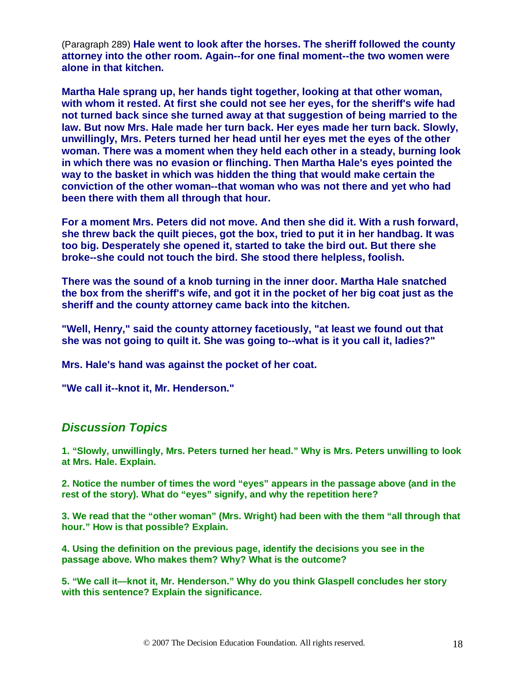(Paragraph 289) **Hale went to look after the horses. The sheriff followed the county attorney into the other room. Again--for one final moment--the two women were alone in that kitchen.** 

**Martha Hale sprang up, her hands tight together, looking at that other woman, with whom it rested. At first she could not see her eyes, for the sheriff's wife had not turned back since she turned away at that suggestion of being married to the law. But now Mrs. Hale made her turn back. Her eyes made her turn back. Slowly, unwillingly, Mrs. Peters turned her head until her eyes met the eyes of the other woman. There was a moment when they held each other in a steady, burning look in which there was no evasion or flinching. Then Martha Hale's eyes pointed the way to the basket in which was hidden the thing that would make certain the conviction of the other woman--that woman who was not there and yet who had been there with them all through that hour.** 

**For a moment Mrs. Peters did not move. And then she did it. With a rush forward, she threw back the quilt pieces, got the box, tried to put it in her handbag. It was too big. Desperately she opened it, started to take the bird out. But there she broke--she could not touch the bird. She stood there helpless, foolish.** 

**There was the sound of a knob turning in the inner door. Martha Hale snatched the box from the sheriff's wife, and got it in the pocket of her big coat just as the sheriff and the county attorney came back into the kitchen.** 

**"Well, Henry," said the county attorney facetiously, "at least we found out that she was not going to quilt it. She was going to--what is it you call it, ladies?"** 

**Mrs. Hale's hand was against the pocket of her coat.** 

**"We call it--knot it, Mr. Henderson."**

## *Discussion Topics*

**1. "Slowly, unwillingly, Mrs. Peters turned her head." Why is Mrs. Peters unwilling to look at Mrs. Hale. Explain.**

**2. Notice the number of times the word "eyes" appears in the passage above (and in the rest of the story). What do "eyes" signify, and why the repetition here?**

**3. We read that the "other woman" (Mrs. Wright) had been with the them "all through that hour." How is that possible? Explain.**

**4. Using the definition on the previous page, identify the decisions you see in the passage above. Who makes them? Why? What is the outcome?**

**5. "We call it—knot it, Mr. Henderson." Why do you think Glaspell concludes her story with this sentence? Explain the significance.**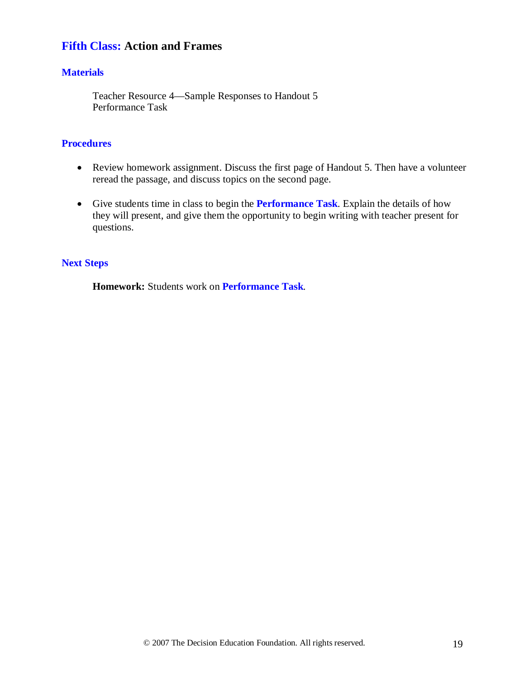# **Fifth Class: Action and Frames**

#### **Materials**

Teacher Resource 4—Sample Responses to Handout 5 Performance Task

#### **Procedures**

- Review homework assignment. Discuss the first page of Handout 5. Then have a volunteer reread the passage, and discuss topics on the second page.
- Give students time in class to begin the **Performance Task**. Explain the details of how they will present, and give them the opportunity to begin writing with teacher present for questions.

#### **Next Steps**

**Homework:** Students work on **Performance Task***.*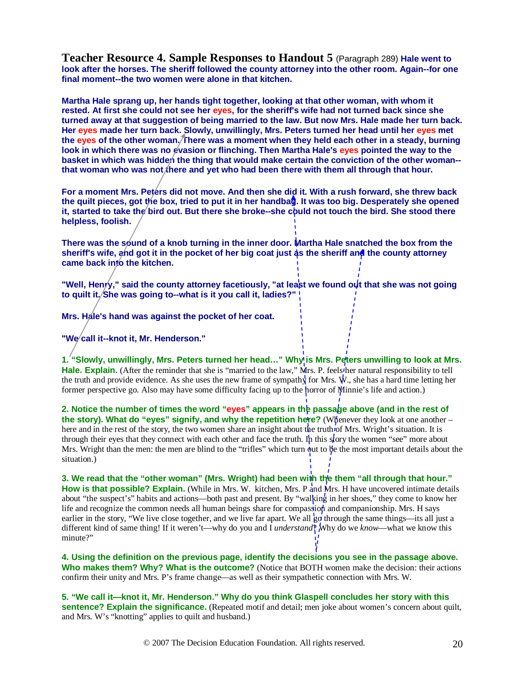**Teacher Resource 4. Sample Responses to Handout 5** (Paragraph 289) **Hale went to look after the horses. The sheriff followed the county attorney into the other room. Again--for one final moment--the two women were alone in that kitchen.** 

**Martha Hale sprang up, her hands tight together, looking at that other woman, with whom it rested. At first she could not see her eyes, for the sheriff's wife had not turned back since she turned away at that suggestion of being married to the law. But now Mrs. Hale made her turn back. Her eyes made her turn back. Slowly, unwillingly, Mrs. Peters turned her head until her eyes met the eyes of the other woman. There was a moment when they held each other in a steady, burning**  look in which there was no evasion or flinching. Then Martha Hale's eyes pointed the way to the **basket in which was hidden the thing that would make certain the conviction of the other woman-** that woman who was not *f* here and yet who had been there with them all through that hour.

For a moment Mrs. Peters did not move. And then she did it. With a rush forward, she threw back **the quilt pieces, got the box, tried to put it in her handbag. It was too big. Desperately she opened**  it, started to take the bird out. But there she broke--she could not touch the bird. She stood there **helpless, foolish.** 

There was the sound of a knob turning in the inner door. Martha Hale snatched the box from the **sheriff's wife, and got it in the pocket of her big coat just as the sheriff and the county attorney**  came back into the kitchen.

"Well, Henry," said the county attorney facetiously, "at least we found out that she was not going **to quilt it. She was going to--what is it you call it, ladies?"** 

**Mrs. Hale's hand was against the pocket of her coat.** 

**"We call it--knot it, Mr. Henderson."**

1. "Slowly, unwillingly, Mrs. Peters turned her head..." Why is Mrs. Peters unwilling to look at Mrs. **Hale. Explain.** (After the reminder that she is "married to the law," Mrs. P. feels the natural responsibility to tell the truth and provide evidence. As she uses the new frame of sympathy for Mrs. W., she has a hard time letting her former perspective go. Also may have some difficulty facing up to the horror of Minnie's life and action.)

**2. Notice the number of times the word "eyes" appears in the passage above (and in the rest of the story). What do "eyes" signify, and why the repetition here?** (Whenever they look at one another – here and in the rest of the story, the two women share an insight about the truth of Mrs. Wright's situation. It is through their eyes that they connect with each other and face the truth. In this story the women "see" more about Mrs. Wright than the men: the men are blind to the "trifles" which turn out to be the most important details about the situation.)

**3. We read that the "other woman" (Mrs. Wright) had been with the them "all through that hour." How is that possible? Explain.** (While in Mrs. W. kitchen, Mrs. P and Mrs. H have uncovered intimate details about "the suspect's" habits and actions—both past and present. By "walking in her shoes," they come to know her life and recognize the common needs all human beings share for compassion and companionship. Mrs. H says earlier in the story, "We live close together, and we live far apart. We all go through the same things—its all just a different kind of same thing! If it weren't—why do you and I *understand*? Why do we *know*—what we know this minute?"

**4. Using the definition on the previous page, identify the decisions you see in the passage above. Who makes them? Why? What is the outcome?** (Notice that BOTH women make the decision: their actions confirm their unity and Mrs. P's frame change—as well as their sympathetic connection with Mrs. W.

**5. "We call it—knot it, Mr. Henderson." Why do you think Glaspell concludes her story with this sentence? Explain the significance.** (Repeated motif and detail; men joke about women's concern about quilt, and Mrs. W's "knotting" applies to quilt and husband.)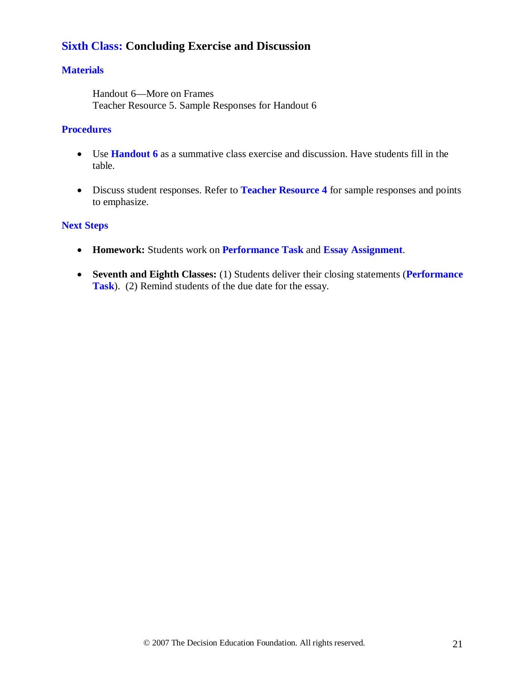# **Sixth Class: Concluding Exercise and Discussion**

#### **Materials**

Handout 6—More on Frames Teacher Resource 5. Sample Responses for Handout 6

#### **Procedures**

- Use **Handout 6** as a summative class exercise and discussion. Have students fill in the table.
- Discuss student responses. Refer to **Teacher Resource 4** for sample responses and points to emphasize.

#### **Next Steps**

- **Homework:** Students work on **Performance Task** and **Essay Assignment**.
- **Seventh and Eighth Classes:** (1) Students deliver their closing statements (**Performance Task**). (2) Remind students of the due date for the essay.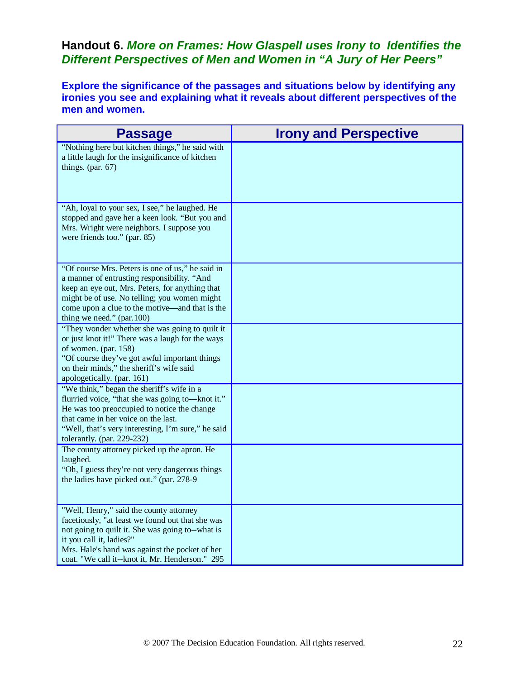# **Handout 6.** *More on Frames: How Glaspell uses Irony to Identifies the Different Perspectives of Men and Women in "A Jury of Her Peers"*

**Explore the significance of the passages and situations below by identifying any ironies you see and explaining what it reveals about different perspectives of the men and women.**

| <b>Passage</b>                                                                                                                                                                                                                                                                    | <b>Irony and Perspective</b> |
|-----------------------------------------------------------------------------------------------------------------------------------------------------------------------------------------------------------------------------------------------------------------------------------|------------------------------|
| "Nothing here but kitchen things," he said with<br>a little laugh for the insignificance of kitchen<br>things. (par. $67$ )                                                                                                                                                       |                              |
| "Ah, loyal to your sex, I see," he laughed. He<br>stopped and gave her a keen look. "But you and<br>Mrs. Wright were neighbors. I suppose you<br>were friends too." (par. 85)                                                                                                     |                              |
| "Of course Mrs. Peters is one of us," he said in<br>a manner of entrusting responsibility. "And<br>keep an eye out, Mrs. Peters, for anything that<br>might be of use. No telling; you women might<br>come upon a clue to the motive—and that is the<br>thing we need." (par.100) |                              |
| "They wonder whether she was going to quilt it<br>or just knot it!" There was a laugh for the ways<br>of women. (par. 158)<br>"Of course they've got awful important things<br>on their minds," the sheriff's wife said<br>apologetically. (par. 161)                             |                              |
| "We think," began the sheriff's wife in a<br>flurried voice, "that she was going to—knot it."<br>He was too preoccupied to notice the change<br>that came in her voice on the last.<br>"Well, that's very interesting, I'm sure," he said<br>tolerantly. (par. 229-232)           |                              |
| The county attorney picked up the apron. He<br>laughed.<br>"Oh, I guess they're not very dangerous things<br>the ladies have picked out." (par. 278-9)                                                                                                                            |                              |
| "Well, Henry," said the county attorney<br>facetiously, "at least we found out that she was<br>not going to quilt it. She was going to--what is<br>it you call it, ladies?"<br>Mrs. Hale's hand was against the pocket of her<br>coat. "We call it--knot it, Mr. Henderson." 295  |                              |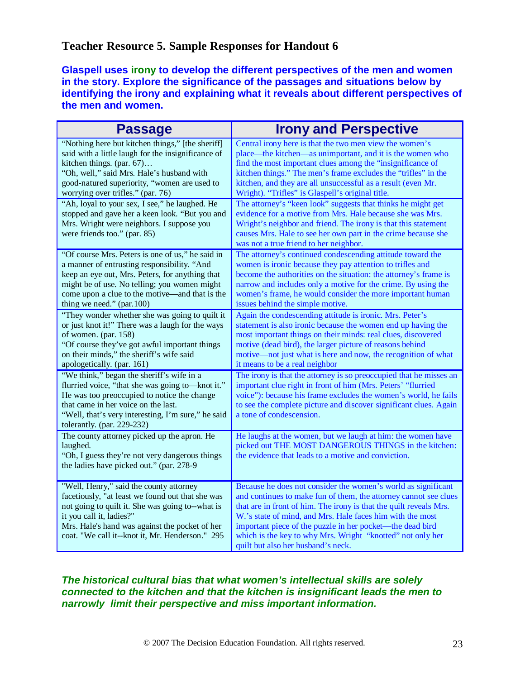## **Teacher Resource 5. Sample Responses for Handout 6**

**Glaspell uses irony to develop the different perspectives of the men and women in the story. Explore the significance of the passages and situations below by identifying the irony and explaining what it reveals about different perspectives of the men and women.**

| <b>Passage</b>                                                                                                                                                                                                                                                                   | <b>Irony and Perspective</b>                                                                                                                                                                                                                                                                                                                                                                                                          |
|----------------------------------------------------------------------------------------------------------------------------------------------------------------------------------------------------------------------------------------------------------------------------------|---------------------------------------------------------------------------------------------------------------------------------------------------------------------------------------------------------------------------------------------------------------------------------------------------------------------------------------------------------------------------------------------------------------------------------------|
| "Nothing here but kitchen things," [the sheriff]<br>said with a little laugh for the insignificance of<br>kitchen things. (par. 67)<br>"Oh, well," said Mrs. Hale's husband with<br>good-natured superiority, "women are used to<br>worrying over trifles." (par. 76)            | Central irony here is that the two men view the women's<br>place—the kitchen—as unimportant, and it is the women who<br>find the most important clues among the "insignificance of<br>kitchen things." The men's frame excludes the "trifles" in the<br>kitchen, and they are all unsuccessful as a result (even Mr.<br>Wright). "Trifles" is Glaspell's original title.                                                              |
| "Ah, loyal to your sex, I see," he laughed. He<br>stopped and gave her a keen look. "But you and<br>Mrs. Wright were neighbors. I suppose you<br>were friends too." (par. 85)                                                                                                    | The attorney's "keen look" suggests that thinks he might get<br>evidence for a motive from Mrs. Hale because she was Mrs.<br>Wright's neighbor and friend. The irony is that this statement<br>causes Mrs. Hale to see her own part in the crime because she<br>was not a true friend to her neighbor.                                                                                                                                |
| "Of course Mrs. Peters is one of us," he said in<br>a manner of entrusting responsibility. "And<br>keep an eye out, Mrs. Peters, for anything that<br>might be of use. No telling; you women might<br>come upon a clue to the motive—and that is the                             | The attorney's continued condescending attitude toward the<br>women is ironic because they pay attention to trifles and<br>become the authorities on the situation: the attorney's frame is<br>narrow and includes only a motive for the crime. By using the<br>women's frame, he would consider the more important human<br>issues behind the simple motive.                                                                         |
| "They wonder whether she was going to quilt it<br>or just knot it!" There was a laugh for the ways<br>of women. (par. 158)<br>"Of course they've got awful important things<br>on their minds," the sheriff's wife said<br>apologetically. (par. 161)                            | Again the condescending attitude is ironic. Mrs. Peter's<br>statement is also ironic because the women end up having the<br>most important things on their minds: real clues, discovered<br>motive (dead bird), the larger picture of reasons behind<br>motive—not just what is here and now, the recognition of what<br>it means to be a real neighbor                                                                               |
| "We think," began the sheriff's wife in a<br>flurried voice, "that she was going to-knot it."<br>He was too preoccupied to notice the change<br>that came in her voice on the last.<br>"Well, that's very interesting, I'm sure," he said<br>tolerantly. (par. 229-232)          | The irony is that the attorney is so preoccupied that he misses an<br>important clue right in front of him (Mrs. Peters' "flurried<br>voice"): because his frame excludes the women's world, he fails<br>to see the complete picture and discover significant clues. Again<br>a tone of condescension.                                                                                                                                |
| The county attorney picked up the apron. He<br>laughed.<br>"Oh, I guess they're not very dangerous things<br>the ladies have picked out." (par. 278-9                                                                                                                            | He laughs at the women, but we laugh at him: the women have<br>picked out THE MOST DANGEROUS THINGS in the kitchen:<br>the evidence that leads to a motive and conviction.                                                                                                                                                                                                                                                            |
| "Well, Henry," said the county attorney<br>facetiously, "at least we found out that she was<br>not going to quilt it. She was going to--what is<br>it you call it, ladies?"<br>Mrs. Hale's hand was against the pocket of her<br>coat. "We call it--knot it, Mr. Henderson." 295 | Because he does not consider the women's world as significant<br>and continues to make fun of them, the attorney cannot see clues<br>that are in front of him. The irony is that the quilt reveals Mrs.<br>W.'s state of mind, and Mrs. Hale faces him with the most<br>important piece of the puzzle in her pocket—the dead bird<br>which is the key to why Mrs. Wright "knotted" not only her<br>quilt but also her husband's neck. |

#### *The historical cultural bias that what women's intellectual skills are solely connected to the kitchen and that the kitchen is insignificant leads the men to narrowly limit their perspective and miss important information.*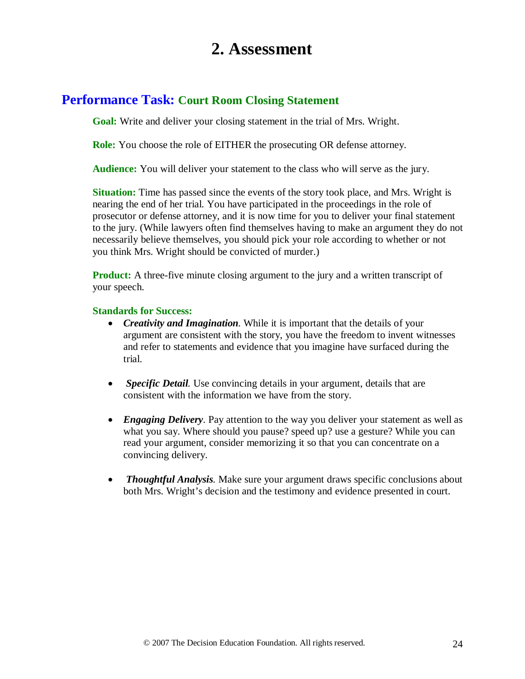# **2. Assessment**

# **Performance Task: Court Room Closing Statement**

**Goal:** Write and deliver your closing statement in the trial of Mrs. Wright.

**Role:** You choose the role of EITHER the prosecuting OR defense attorney.

**Audience:** You will deliver your statement to the class who will serve as the jury.

**Situation:** Time has passed since the events of the story took place, and Mrs. Wright is nearing the end of her trial. You have participated in the proceedings in the role of prosecutor or defense attorney, and it is now time for you to deliver your final statement to the jury. (While lawyers often find themselves having to make an argument they do not necessarily believe themselves, you should pick your role according to whether or not you think Mrs. Wright should be convicted of murder.)

**Product:** A three-five minute closing argument to the jury and a written transcript of your speech.

#### **Standards for Success:**

- *Creativity and Imagination.* While it is important that the details of your argument are consistent with the story, you have the freedom to invent witnesses and refer to statements and evidence that you imagine have surfaced during the trial.
- *Specific Detail.* Use convincing details in your argument, details that are consistent with the information we have from the story.
- *Engaging Delivery*. Pay attention to the way you deliver your statement as well as what you say. Where should you pause? speed up? use a gesture? While you can read your argument, consider memorizing it so that you can concentrate on a convincing delivery.
- *Thoughtful Analysis.* Make sure your argument draws specific conclusions about both Mrs. Wright's decision and the testimony and evidence presented in court.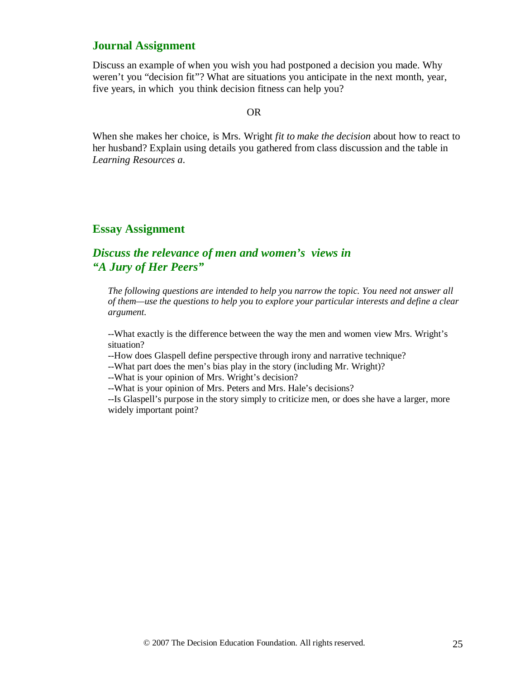## **Journal Assignment**

Discuss an example of when you wish you had postponed a decision you made. Why weren't you "decision fit"? What are situations you anticipate in the next month, year, five years, in which you think decision fitness can help you?

#### OR

When she makes her choice, is Mrs. Wright *fit to make the decision* about how to react to her husband? Explain using details you gathered from class discussion and the table in *Learning Resources a*.

## **Essay Assignment**

### *Discuss the relevance of men and women's views in "A Jury of Her Peers"*

*The following questions are intended to help you narrow the topic. You need not answer all of them—use the questions to help you to explore your particular interests and define a clear argument.* 

--What exactly is the difference between the way the men and women view Mrs. Wright's situation?

--How does Glaspell define perspective through irony and narrative technique?

--What part does the men's bias play in the story (including Mr. Wright)?

--What is your opinion of Mrs. Wright's decision?

--What is your opinion of Mrs. Peters and Mrs. Hale's decisions?

--Is Glaspell's purpose in the story simply to criticize men, or does she have a larger, more widely important point?